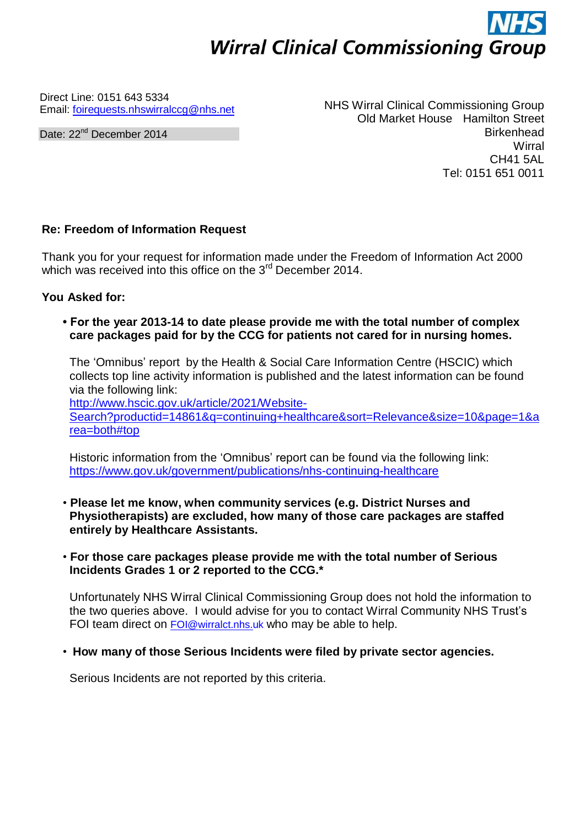## **Wirral Clinical Commissioning Group**

Direct Line: 0151 643 5334 Email: [foirequests.nhswirralccg@nhs.net](mailto:foirequests.nhswirralccg@nhs.net)

Date: 22<sup>nd</sup> December 2014

NHS Wirral Clinical Commissioning Group Old Market House Hamilton Street Birkenhead **Wirral** CH41 5AL Tel: 0151 651 0011

## **Re: Freedom of Information Request**

Thank you for your request for information made under the Freedom of Information Act 2000 which was received into this office on the 3<sup>rd</sup> December 2014.

**You Asked for:**

## **• For the year 2013-14 to date please provide me with the total number of complex care packages paid for by the CCG for patients not cared for in nursing homes.**

The 'Omnibus' report by the Health & Social Care Information Centre (HSCIC) which collects top line activity information is published and the latest information can be found via the following link:

[http://www.hscic.gov.uk/article/2021/Website-](http://www.hscic.gov.uk/article/2021/Website-Search?productid=14861&q=continuing%2Bhealthcare&sort=Relevance&size=10&page=1&area=both&top)[Search?productid=14861&q=continuing+healthcare&sort=Relevance&size=10&page=1&a](http://www.hscic.gov.uk/article/2021/Website-Search?productid=14861&q=continuing%2Bhealthcare&sort=Relevance&size=10&page=1&area=both&top) [rea=both#top](http://www.hscic.gov.uk/article/2021/Website-Search?productid=14861&q=continuing%2Bhealthcare&sort=Relevance&size=10&page=1&area=both&top)

Historic information from the 'Omnibus' report can be found via the following link: <https://www.gov.uk/government/publications/nhs-continuing-healthcare>

- **Please let me know, when community services (e.g. District Nurses and Physiotherapists) are excluded, how many of those care packages are staffed entirely by Healthcare Assistants.**
- **For those care packages please provide me with the total number of Serious Incidents Grades 1 or 2 reported to the CCG.\***

Unfortunately NHS Wirral Clinical Commissioning Group does not hold the information to the two queries above. I would advise for you to contact Wirral Community NHS Trust's FOI team direct on [FOI@wirralct.nhs.uk](mailto:FOI@wirralct.nhs.uk) who may be able to help.

• **How many of those Serious Incidents were filed by private sector agencies.**

Serious Incidents are not reported by this criteria.